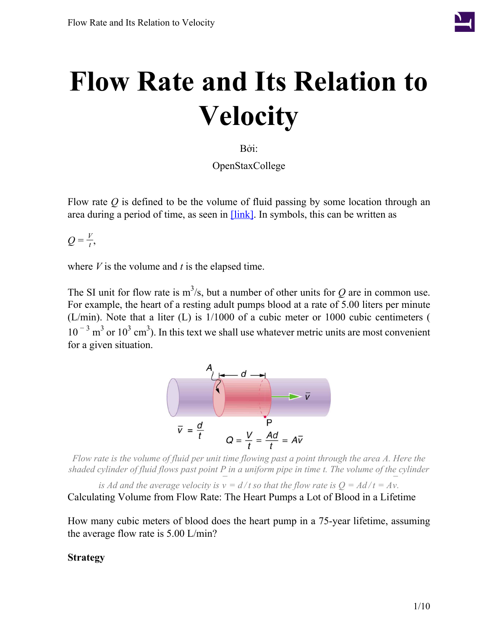

# **Flow Rate and Its Relation to Velocity**

Bởi:

OpenStaxCollege

Flow rate *Q* is defined to be the volume of fluid passing by some location through an area during a period of time, as seen in [\[link\].](#page-0-0) In symbols, this can be written as

$$
Q=\frac{V}{t},
$$

where *V* is the volume and *t* is the elapsed time.

<span id="page-0-0"></span>The SI unit for flow rate is  $m^3/s$ , but a number of other units for *Q* are in common use. For example, the heart of a resting adult pumps blood at a rate of 5.00 liters per minute (L/min). Note that a liter (L) is 1/1000 of a cubic meter or 1000 cubic centimeters (  $10^{-3}$  m<sup>3</sup> or  $10^3$  cm<sup>3</sup>). In this text we shall use whatever metric units are most convenient for a given situation.



*Flow rate is the volume of fluid per unit time flowing past a point through the area A. Here the shaded cylinder of fluid flows past point P in a uniform pipe in time t. The volume of the cylinder*

*is Ad* and the average velocity is  $v = d/t$  so that the flow rate is  $Q = Ad/t = Av$ .

Calculating Volume from Flow Rate: The Heart Pumps a Lot of Blood in a Lifetime

How many cubic meters of blood does the heart pump in a 75-year lifetime, assuming the average flow rate is 5.00 L/min?

#### **Strategy**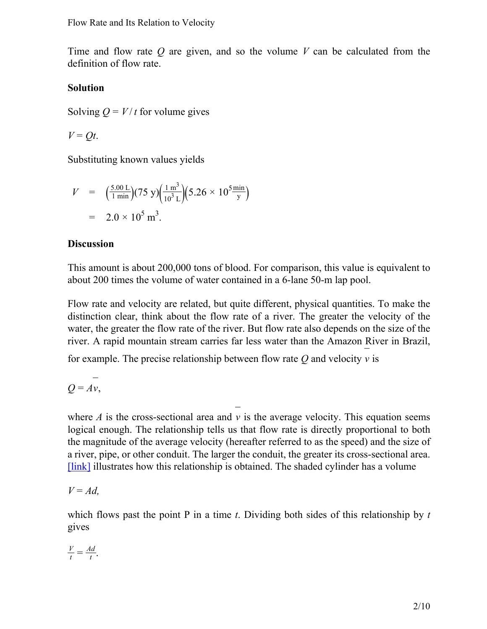Time and flow rate *Q* are given, and so the volume *V* can be calculated from the definition of flow rate.

### **Solution**

Solving  $Q = V/t$  for volume gives

$$
V = Qt.
$$

Substituting known values yields

$$
V = \left(\frac{5.00 \text{ L}}{1 \text{ min}}\right) (75 \text{ y}) \left(\frac{1 \text{ m}^3}{10^3 \text{ L}}\right) (5.26 \times 10^5 \frac{\text{min}}{\text{y}})
$$
  
= 2.0 \times 10^5 \text{ m}^3.

## **Discussion**

This amount is about 200,000 tons of blood. For comparison, this value is equivalent to about 200 times the volume of water contained in a 6-lane 50-m lap pool.

Flow rate and velocity are related, but quite different, physical quantities. To make the distinction clear, think about the flow rate of a river. The greater the velocity of the water, the greater the flow rate of the river. But flow rate also depends on the size of the river. A rapid mountain stream carries far less water than the Amazon River in Brazil,

for example. The precise relationship between flow rate Q and velocity  $\overline{v}$  is

$$
Q = AV,
$$

where *A* is the cross-sectional area and  $\overline{v}$  is the average velocity. This equation seems logical enough. The relationship tells us that flow rate is directly proportional to both the magnitude of the average velocity (hereafter referred to as the speed) and the size of a river, pipe, or other conduit. The larger the conduit, the greater its cross-sectional area. [\[link\]](#page-0-0) illustrates how this relationship is obtained. The shaded cylinder has a volume

$$
V = Ad,
$$

which flows past the point P in a time *t*. Dividing both sides of this relationship by *t* gives

$$
\frac{V}{t} = \frac{Ad}{t}.
$$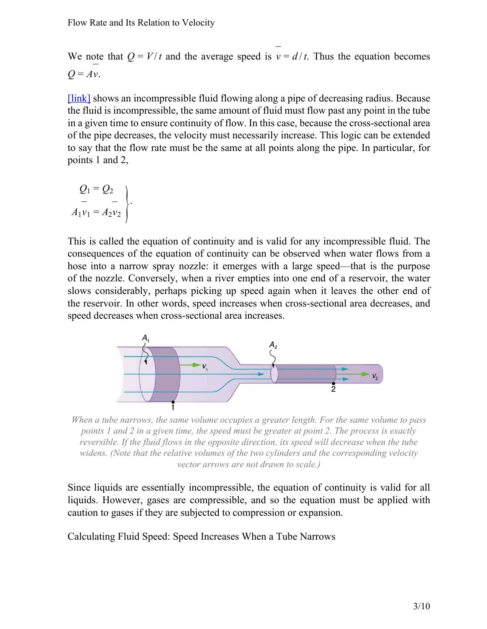We note that  $Q = V/t$  and the average speed is  $v = d/t$ . Thus the equation becomes  $Q = Av$ .

[\[link\]](#page-2-0) shows an incompressible fluid flowing along a pipe of decreasing radius. Because the fluid is incompressible, the same amount of fluid must flow past any point in the tube in a given time to ensure continuity of flow. In this case, because the cross-sectional area of the pipe decreases, the velocity must necessarily increase. This logic can be extended to say that the flow rate must be the same at all points along the pipe. In particular, for points 1 and 2,

$$
\begin{array}{c}\nQ_1 = Q_2 \\
- \\
A_1v_1 = A_2v_2\n\end{array}.
$$

This is called the equation of continuity and is valid for any incompressible fluid. The consequences of the equation of continuity can be observed when water flows from a hose into a narrow spray nozzle: it emerges with a large speed—that is the purpose of the nozzle. Conversely, when a river empties into one end of a reservoir, the water slows considerably, perhaps picking up speed again when it leaves the other end of the reservoir. In other words, speed increases when cross-sectional area decreases, and speed decreases when cross-sectional area increases.



<span id="page-2-0"></span>*When a tube narrows, the same volume occupies a greater length. For the same volume to pass points 1 and 2 in a given time, the speed must be greater at point 2. The process is exactly reversible. If the fluid flows in the opposite direction, its speed will decrease when the tube widens. (Note that the relative volumes of the two cylinders and the corresponding velocity vector arrows are not drawn to scale.)*

Since liquids are essentially incompressible, the equation of continuity is valid for all liquids. However, gases are compressible, and so the equation must be applied with caution to gases if they are subjected to compression or expansion.

Calculating Fluid Speed: Speed Increases When a Tube Narrows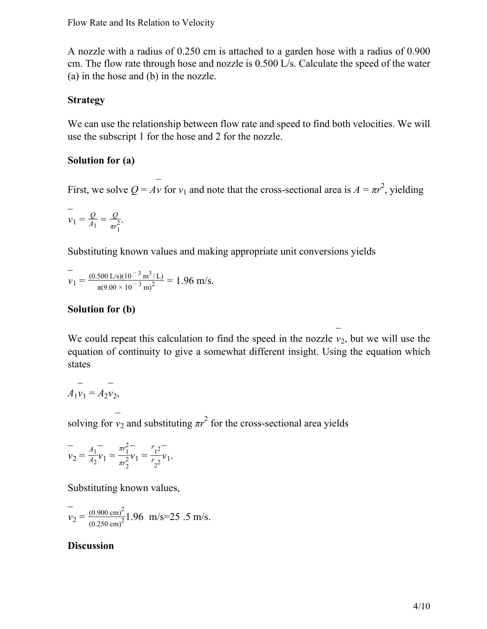Flow Rate and Its Relation to Velocity

A nozzle with a radius of 0.250 cm is attached to a garden hose with a radius of 0.900 cm. The flow rate through hose and nozzle is 0.500 L/s. Calculate the speed of the water (a) in the hose and (b) in the nozzle.

#### **Strategy**

We can use the relationship between flow rate and speed to find both velocities. We will use the subscript 1 for the hose and 2 for the nozzle.

#### **Solution for (a)**

First, we solve  $Q = Av$  for  $v_1$  and note that the cross-sectional area is  $A = \pi r^2$ , yielding

$$
\overline{v}_1 = \frac{Q}{A_1} = \frac{Q}{\pi r_1^2}.
$$

Substituting known values and making appropriate unit conversions yields

$$
v_1 = \frac{(0.500 \text{ L/s})(10^{-3} \text{ m}^3/\text{L})}{\pi (9.00 \times 10^{-3} \text{ m})^2} = 1.96 \text{ m/s}.
$$

#### **Solution for (b)**

We could repeat this calculation to find the speed in the nozzle  $v_2$ , but we will use the equation of continuity to give a somewhat different insight. Using the equation which states

$$
A_1v_1 = A_2v_2,
$$

solving for  $v_2$  and substituting  $\pi r^2$  for the cross-sectional area yields

$$
v_2 = \frac{A_1}{A_2}v_1 = \frac{\pi r_1^2}{\pi r_2^2}v_1 = \frac{r_1^2}{r_2^2}v_1.
$$

Substituting known values,

$$
v_2 = \frac{(0.900 \text{ cm})^2}{(0.250 \text{ cm})^2} 1.96 \text{ m/s} = 25.5 \text{ m/s}.
$$

#### **Discussion**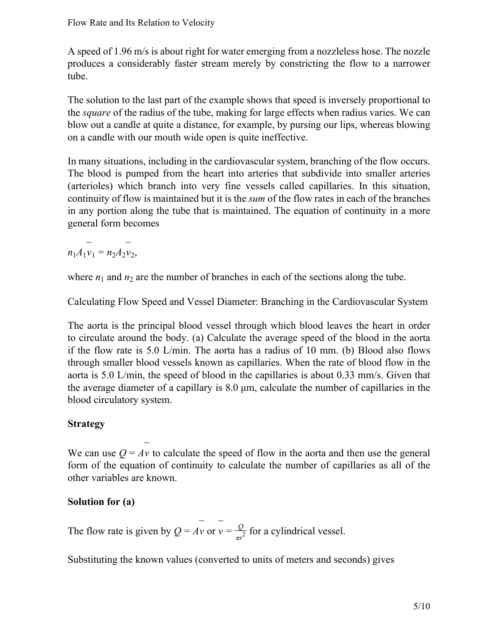A speed of 1.96 m/s is about right for water emerging from a nozzleless hose. The nozzle produces a considerably faster stream merely by constricting the flow to a narrower tube.

The solution to the last part of the example shows that speed is inversely proportional to the *square* of the radius of the tube, making for large effects when radius varies. We can blow out a candle at quite a distance, for example, by pursing our lips, whereas blowing on a candle with our mouth wide open is quite ineffective.

In many situations, including in the cardiovascular system, branching of the flow occurs. The blood is pumped from the heart into arteries that subdivide into smaller arteries (arterioles) which branch into very fine vessels called capillaries. In this situation, continuity of flow is maintained but it is the *sum* of the flow rates in each of the branches in any portion along the tube that is maintained. The equation of continuity in a more general form becomes

 $n_1 A_1 v_1 = n_2 A_2 v_2,$ 

where  $n_1$  and  $n_2$  are the number of branches in each of the sections along the tube.

Calculating Flow Speed and Vessel Diameter: Branching in the Cardiovascular System

The aorta is the principal blood vessel through which blood leaves the heart in order to circulate around the body. (a) Calculate the average speed of the blood in the aorta if the flow rate is 5.0 L/min. The aorta has a radius of 10 mm. (b) Blood also flows through smaller blood vessels known as capillaries. When the rate of blood flow in the aorta is 5.0 L/min, the speed of blood in the capillaries is about 0.33 mm/s. Given that the average diameter of a capillary is  $8.0 \mu m$ , calculate the number of capillaries in the blood circulatory system.

#### **Strategy**

We can use  $Q = Av$  to calculate the speed of flow in the aorta and then use the general form of the equation of continuity to calculate the number of capillaries as all of the other variables are known.

#### **Solution for (a)**

The flow rate is given by  $Q = Av$  or  $v = \frac{Q}{Q}$  $\frac{Q}{\pi r^2}$  for a cylindrical vessel.

Substituting the known values (converted to units of meters and seconds) gives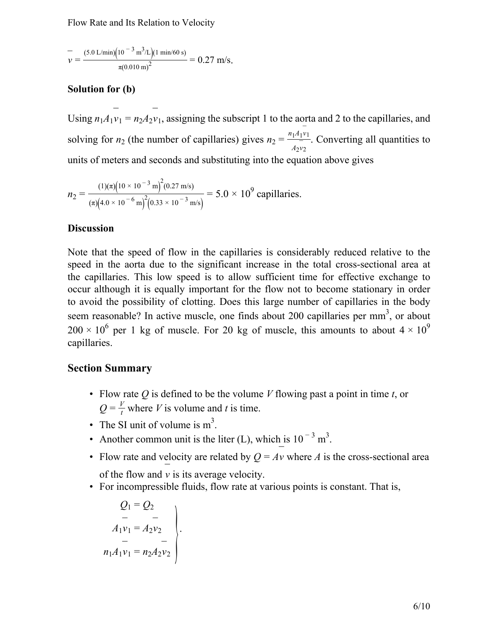Flow Rate and Its Relation to Velocity

$$
\frac{1}{\nu} = \frac{(5.0 \text{ L/min})(10^{-3} \text{ m}^3/\text{L})(1 \text{ min/60 s})}{\pi (0.010 \text{ m})^2} = 0.27 \text{ m/s}.
$$

#### **Solution for (b)**

Using  $n_1A_1v_1 = n_2A_2v_1$ , assigning the subscript 1 to the aorta and 2 to the capillaries, and solving for *n*<sub>2</sub> (the number of capillaries) gives  $n_2 = \frac{n_1 A_1 v_1}{r}$  $\bar{A_2 v_2}$ . Converting all quantities to units of meters and seconds and substituting into the equation above gives

$$
n_2 = \frac{(1)(\pi)(10 \times 10^{-3} \text{ m})^2 (0.27 \text{ m/s})}{(\pi)(4.0 \times 10^{-6} \text{ m})^2 (0.33 \times 10^{-3} \text{ m/s})} = 5.0 \times 10^9 \text{ capillaries.}
$$

#### **Discussion**

Note that the speed of flow in the capillaries is considerably reduced relative to the speed in the aorta due to the significant increase in the total cross-sectional area at the capillaries. This low speed is to allow sufficient time for effective exchange to occur although it is equally important for the flow not to become stationary in order to avoid the possibility of clotting. Does this large number of capillaries in the body seem reasonable? In active muscle, one finds about 200 capillaries per mm<sup>3</sup>, or about  $200 \times 10^6$  per 1 kg of muscle. For 20 kg of muscle, this amounts to about  $4 \times 10^9$ capillaries.

#### **Section Summary**

- Flow rate *Q* is defined to be the volume *V* flowing past a point in time *t*, or  $Q = \frac{V}{t}$  where *V* is volume and *t* is time.
- The SI unit of volume is  $m<sup>3</sup>$ .
- Another common unit is the liter (L), which is  $10^{-3}$  m<sup>3</sup>.
- Flow rate and velocity are related by  $Q = Av$  where *A* is the cross-sectional area of the flow and  $\overline{v}$  is its average velocity.
- For incompressible fluids, flow rate at various points is constant. That is,

$$
Q_1 = Q_2 - \frac{}{A_1v_1 = A_2v_2 - \cdots - A_1u_1v_1 = n_2A_2v_2}.
$$

.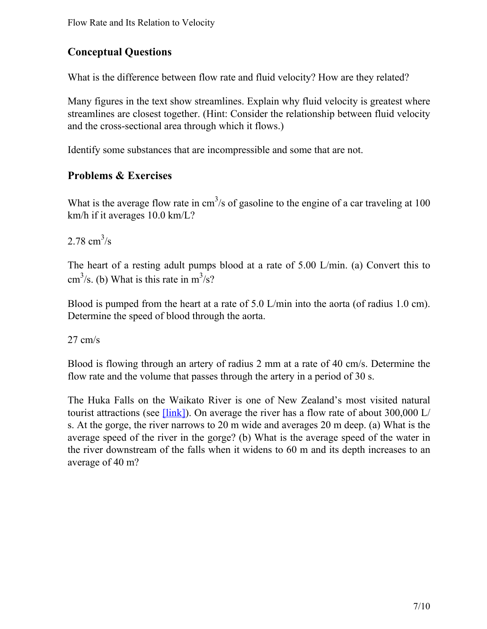Flow Rate and Its Relation to Velocity

# **Conceptual Questions**

What is the difference between flow rate and fluid velocity? How are they related?

Many figures in the text show streamlines. Explain why fluid velocity is greatest where streamlines are closest together. (Hint: Consider the relationship between fluid velocity and the cross-sectional area through which it flows.)

Identify some substances that are incompressible and some that are not.

# **Problems & Exercises**

What is the average flow rate in  $\text{cm}^3\text{/s}$  of gasoline to the engine of a car traveling at 100 km/h if it averages 10.0 km/L?

2.78  $\text{cm}^3/\text{s}$ 

The heart of a resting adult pumps blood at a rate of 5.00 L/min. (a) Convert this to cm<sup>3</sup>/s. (b) What is this rate in m<sup>3</sup>/s?

Blood is pumped from the heart at a rate of 5.0 L/min into the aorta (of radius 1.0 cm). Determine the speed of blood through the aorta.

27 cm/s

Blood is flowing through an artery of radius 2 mm at a rate of 40 cm/s. Determine the flow rate and the volume that passes through the artery in a period of 30 s.

The Huka Falls on the Waikato River is one of New Zealand's most visited natural tourist attractions (see  $\boxed{\text{link}}$ ). On average the river has a flow rate of about 300,000 L/ s. At the gorge, the river narrows to 20 m wide and averages 20 m deep. (a) What is the average speed of the river in the gorge? (b) What is the average speed of the water in the river downstream of the falls when it widens to 60 m and its depth increases to an average of 40 m?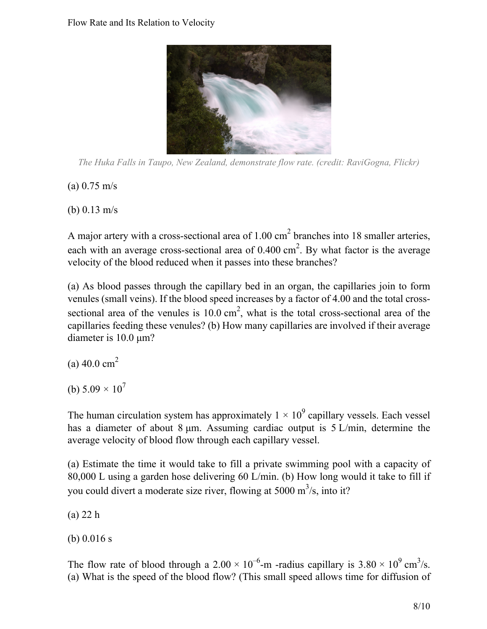<span id="page-7-0"></span>

*The Huka Falls in Taupo, New Zealand, demonstrate flow rate. (credit: RaviGogna, Flickr)*

 $(a) 0.75$  m/s

(b) 0.13 m/s

A major artery with a cross-sectional area of  $1.00 \text{ cm}^2$  branches into 18 smaller arteries, each with an average cross-sectional area of  $0.400 \text{ cm}^2$ . By what factor is the average velocity of the blood reduced when it passes into these branches?

(a) As blood passes through the capillary bed in an organ, the capillaries join to form venules (small veins). If the blood speed increases by a factor of 4.00 and the total crosssectional area of the venules is  $10.0 \text{ cm}^2$ , what is the total cross-sectional area of the capillaries feeding these venules? (b) How many capillaries are involved if their average diameter is 10.0 μm?

(a)  $40.0 \text{ cm}^2$ 

(b)  $5.09 \times 10^7$ 

The human circulation system has approximately  $1 \times 10^9$  capillary vessels. Each vessel has a diameter of about 8 μm. Assuming cardiac output is 5 L/min, determine the average velocity of blood flow through each capillary vessel.

(a) Estimate the time it would take to fill a private swimming pool with a capacity of 80,000 L using a garden hose delivering 60 L/min. (b) How long would it take to fill if you could divert a moderate size river, flowing at 5000 m<sup>3</sup>/s, into it?

(a) 22 h

(b) 0.016 s

The flow rate of blood through a 2.00  $\times$  10<sup>-6</sup>-m -radius capillary is 3.80  $\times$  10<sup>9</sup> cm<sup>3</sup>/s. (a) What is the speed of the blood flow? (This small speed allows time for diffusion of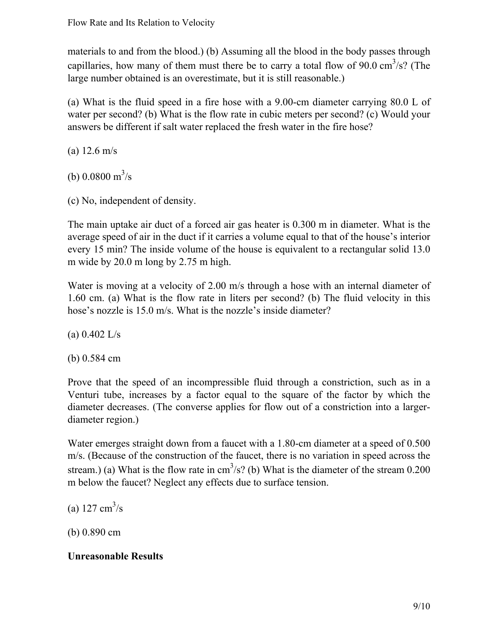materials to and from the blood.) (b) Assuming all the blood in the body passes through capillaries, how many of them must there be to carry a total flow of  $90.0 \text{ cm}^3/\text{s}$ ? (The large number obtained is an overestimate, but it is still reasonable.)

(a) What is the fluid speed in a fire hose with a 9.00-cm diameter carrying 80.0 L of water per second? (b) What is the flow rate in cubic meters per second? (c) Would your answers be different if salt water replaced the fresh water in the fire hose?

(a) 12.6 m/s

(b)  $0.0800 \text{ m}^3/\text{s}$ 

(c) No, independent of density.

The main uptake air duct of a forced air gas heater is 0.300 m in diameter. What is the average speed of air in the duct if it carries a volume equal to that of the house's interior every 15 min? The inside volume of the house is equivalent to a rectangular solid 13.0 m wide by 20.0 m long by 2.75 m high.

Water is moving at a velocity of 2.00 m/s through a hose with an internal diameter of 1.60 cm. (a) What is the flow rate in liters per second? (b) The fluid velocity in this hose's nozzle is 15.0 m/s. What is the nozzle's inside diameter?

(a)  $0.402$  L/s

(b) 0.584 cm

Prove that the speed of an incompressible fluid through a constriction, such as in a Venturi tube, increases by a factor equal to the square of the factor by which the diameter decreases. (The converse applies for flow out of a constriction into a largerdiameter region.)

Water emerges straight down from a faucet with a 1.80-cm diameter at a speed of 0.500 m/s. (Because of the construction of the faucet, there is no variation in speed across the stream.) (a) What is the flow rate in  $cm^3/s$ ? (b) What is the diameter of the stream 0.200 m below the faucet? Neglect any effects due to surface tension.

(a)  $127 \text{ cm}^3/\text{s}$ 

(b) 0.890 cm

## **Unreasonable Results**